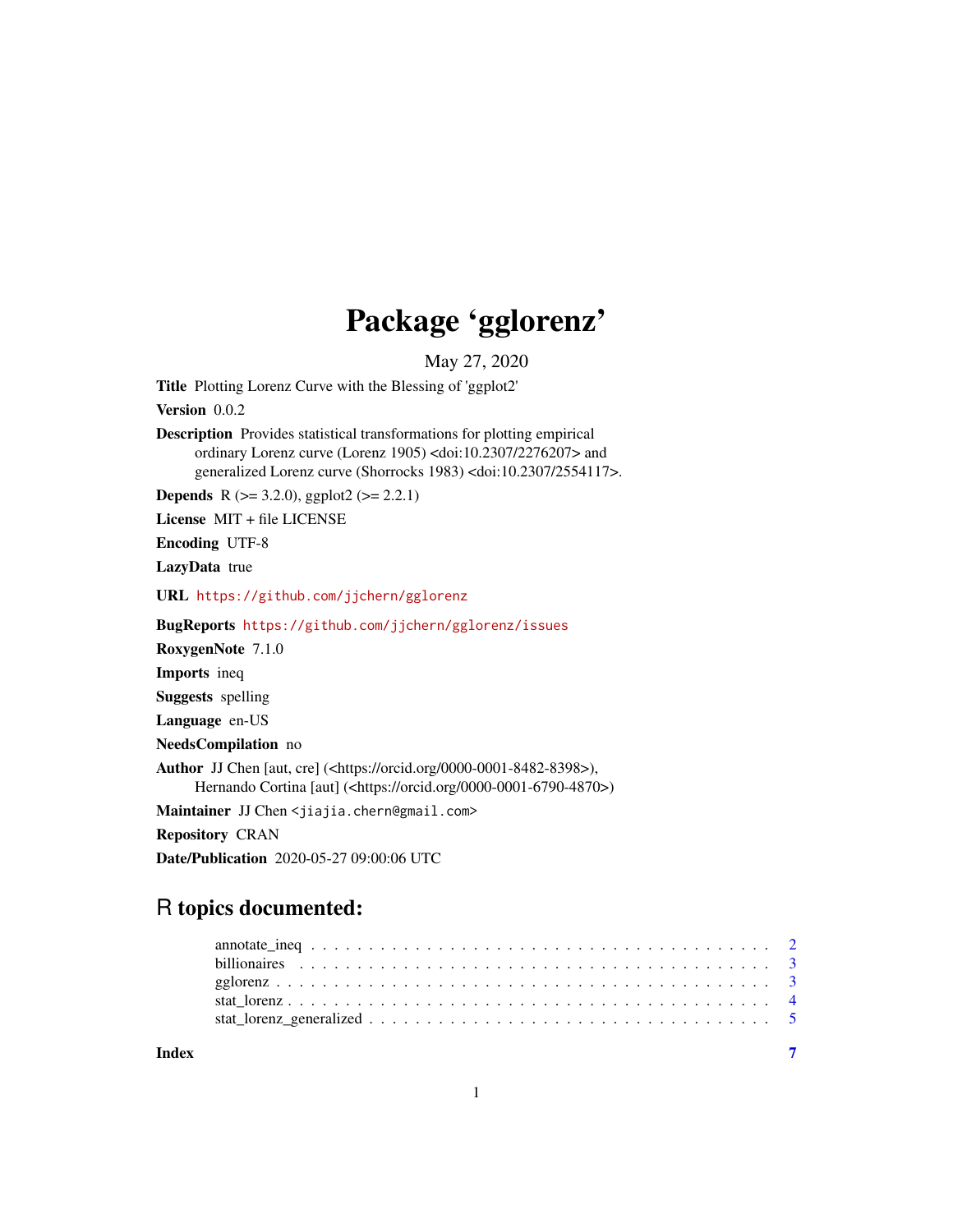## Package 'gglorenz'

May 27, 2020

<span id="page-0-0"></span>Title Plotting Lorenz Curve with the Blessing of 'ggplot2' Version 0.0.2 Description Provides statistical transformations for plotting empirical ordinary Lorenz curve (Lorenz 1905) <doi:10.2307/2276207> and generalized Lorenz curve (Shorrocks 1983) <doi:10.2307/2554117>. **Depends** R ( $>= 3.2.0$ ), ggplot2 ( $>= 2.2.1$ ) License MIT + file LICENSE Encoding UTF-8 LazyData true URL <https://github.com/jjchern/gglorenz> BugReports <https://github.com/jjchern/gglorenz/issues> RoxygenNote 7.1.0 Imports ineq Suggests spelling Language en-US NeedsCompilation no Author JJ Chen [aut, cre] (<https://orcid.org/0000-0001-8482-8398>), Hernando Cortina [aut] (<https://orcid.org/0000-0001-6790-4870>) Maintainer JJ Chen <jiajia.chern@gmail.com> Repository CRAN Date/Publication 2020-05-27 09:00:06 UTC

### R topics documented:

| Index |  |
|-------|--|
|       |  |
|       |  |
|       |  |
|       |  |
|       |  |

1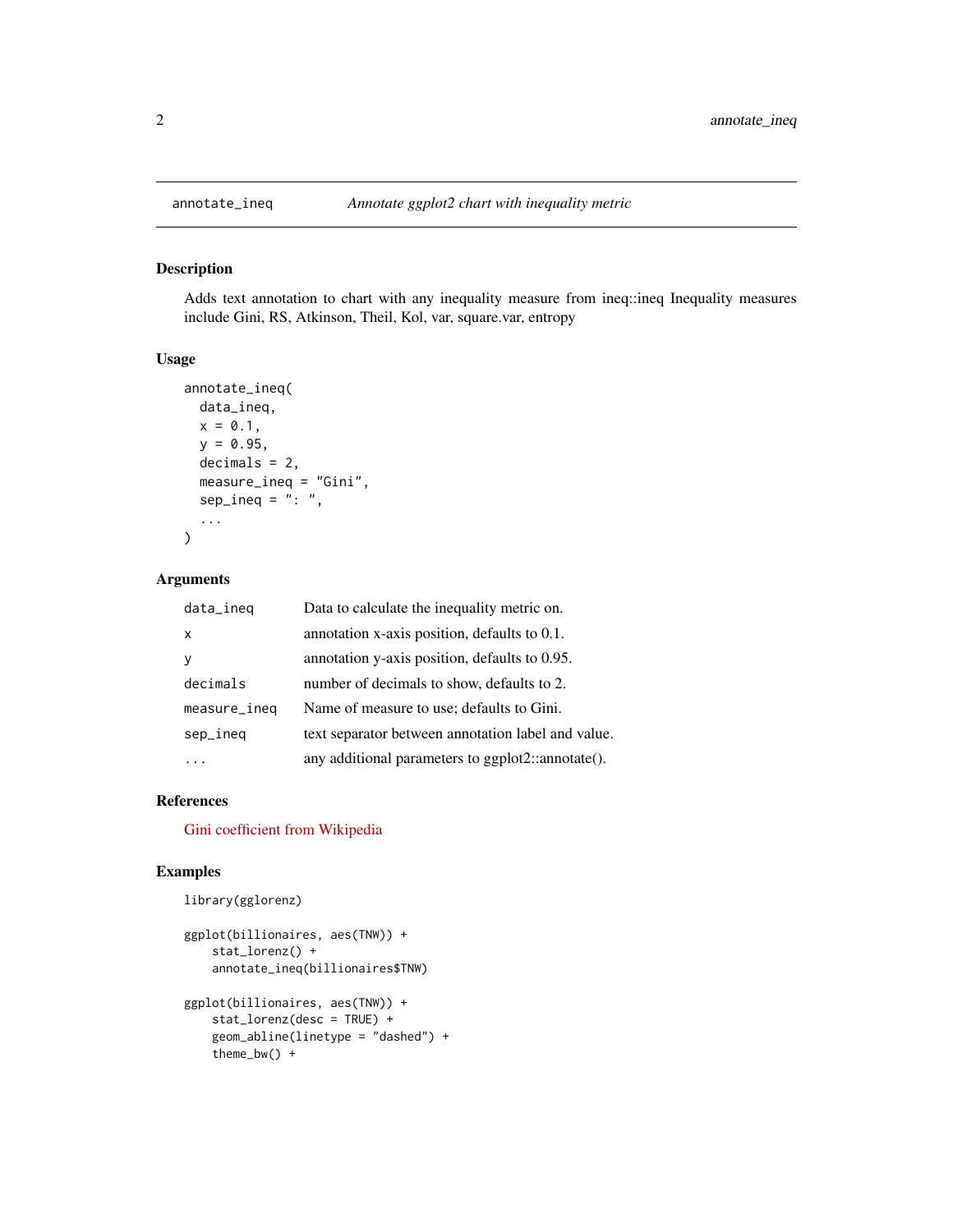#### Description

Adds text annotation to chart with any inequality measure from ineq::ineq Inequality measures include Gini, RS, Atkinson, Theil, Kol, var, square.var, entropy

#### Usage

```
annotate_ineq(
 data_ineq,
 x = 0.1,
 y = 0.95,
 decimals = 2,
 measure_ineq = "Gini",
  sep\_ineq = ":: "...
)
```
#### Arguments

| data_ineq    | Data to calculate the inequality metric on.        |
|--------------|----------------------------------------------------|
| X            | annotation x-axis position, defaults to 0.1.       |
|              | annotation y-axis position, defaults to 0.95.      |
| decimals     | number of decimals to show, defaults to 2.         |
| measure_ineq | Name of measure to use; defaults to Gini.          |
| sep_ineq     | text separator between annotation label and value. |
|              | any additional parameters to ggplot2::annotate().  |

#### References

[Gini coefficient from Wikipedia](https://en.wikipedia.org/wiki/Gini_coefficient)

#### Examples

```
library(gglorenz)
```

```
ggplot(billionaires, aes(TNW)) +
   stat_lorenz() +
   annotate_ineq(billionaires$TNW)
ggplot(billionaires, aes(TNW)) +
   stat_lorenz(desc = TRUE) +
   geom_abline(linetype = "dashed") +
   theme_bw() +
```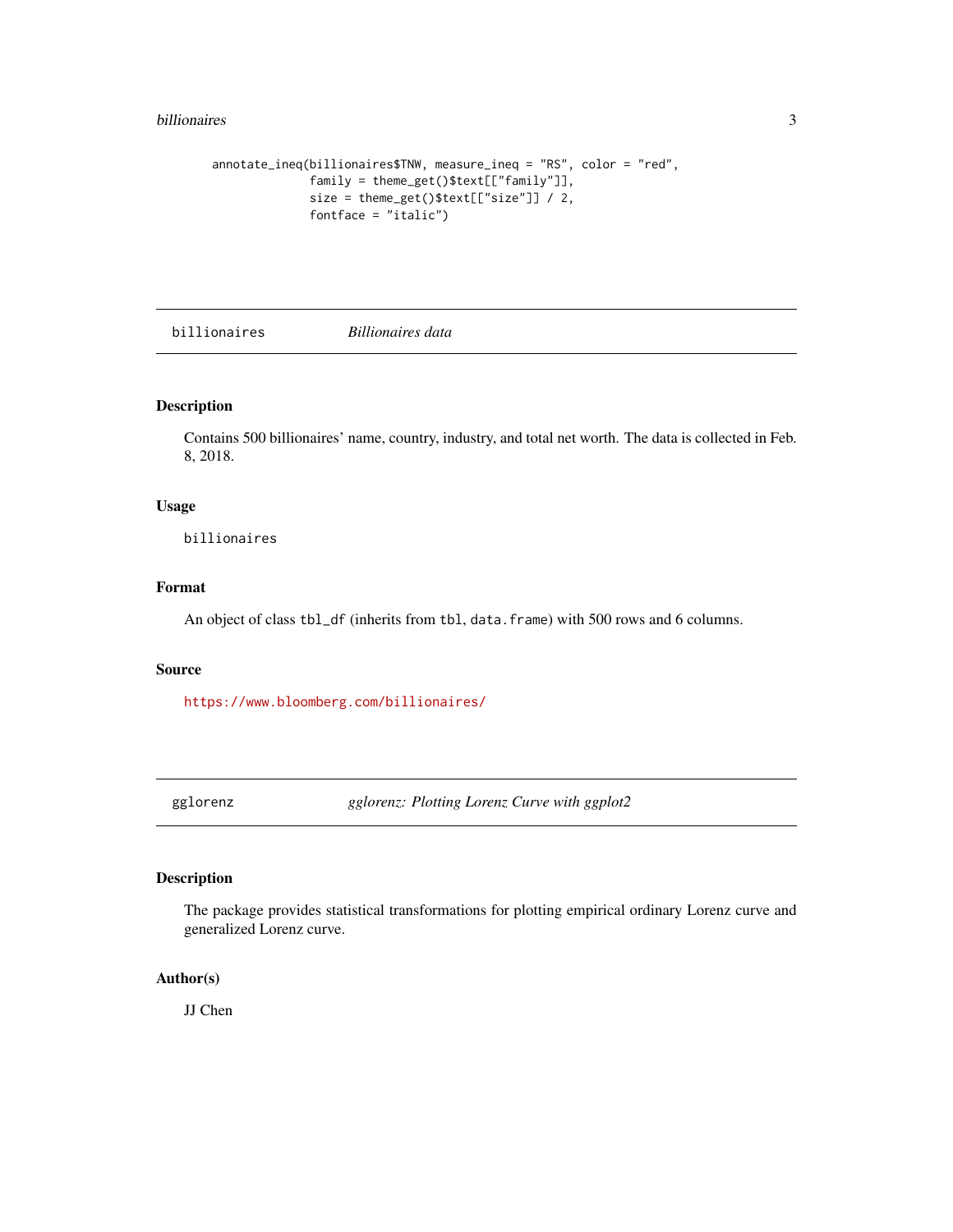#### <span id="page-2-0"></span>billionaires 3

```
annotate_ineq(billionaires$TNW, measure_ineq = "RS", color = "red",
             family = theme_get()$text[["family"]],
              size = theme_get()$text[["size"]] / 2,
              fontface = "italic")
```
billionaires *Billionaires data*

#### Description

Contains 500 billionaires' name, country, industry, and total net worth. The data is collected in Feb. 8, 2018.

#### Usage

billionaires

#### Format

An object of class tbl\_df (inherits from tbl, data.frame) with 500 rows and 6 columns.

#### Source

<https://www.bloomberg.com/billionaires/>

gglorenz *gglorenz: Plotting Lorenz Curve with ggplot2*

#### Description

The package provides statistical transformations for plotting empirical ordinary Lorenz curve and generalized Lorenz curve.

#### Author(s)

JJ Chen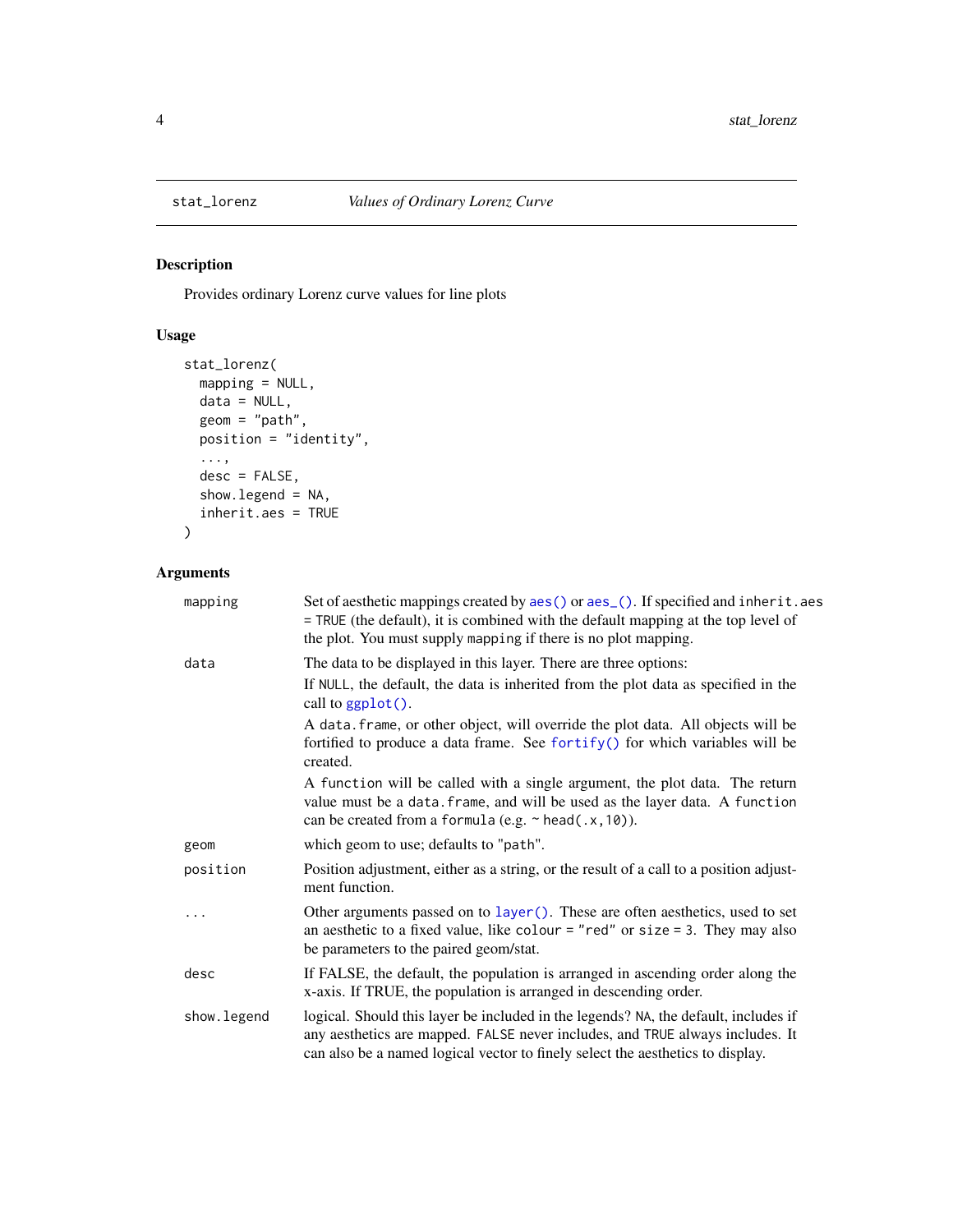<span id="page-3-0"></span>

#### Description

Provides ordinary Lorenz curve values for line plots

#### Usage

```
stat_lorenz(
 mapping = NULL,
 data = NULL,
 geom = "path",
 position = "identity",
  ...,
 desc = FALSE,
 show.legend = NA,
  inherit.aes = TRUE
)
```
#### Arguments

| mapping     | Set of aesthetic mappings created by aes() or aes_(). If specified and inherit.aes<br>= TRUE (the default), it is combined with the default mapping at the top level of<br>the plot. You must supply mapping if there is no plot mapping.              |
|-------------|--------------------------------------------------------------------------------------------------------------------------------------------------------------------------------------------------------------------------------------------------------|
| data        | The data to be displayed in this layer. There are three options:                                                                                                                                                                                       |
|             | If NULL, the default, the data is inherited from the plot data as specified in the<br>call to $ggplot()$ .                                                                                                                                             |
|             | A data. frame, or other object, will override the plot data. All objects will be<br>fortified to produce a data frame. See fortify() for which variables will be<br>created.                                                                           |
|             | A function will be called with a single argument, the plot data. The return<br>value must be a data. frame, and will be used as the layer data. A function<br>can be created from a formula (e.g. ~ head(.x, 10)).                                     |
| geom        | which geom to use; defaults to "path".                                                                                                                                                                                                                 |
| position    | Position adjustment, either as a string, or the result of a call to a position adjust-<br>ment function.                                                                                                                                               |
| $\cdots$    | Other arguments passed on to layer (). These are often aesthetics, used to set<br>an aesthetic to a fixed value, like colour = "red" or size = 3. They may also<br>be parameters to the paired geom/stat.                                              |
| desc        | If FALSE, the default, the population is arranged in ascending order along the<br>x-axis. If TRUE, the population is arranged in descending order.                                                                                                     |
| show.legend | logical. Should this layer be included in the legends? NA, the default, includes if<br>any aesthetics are mapped. FALSE never includes, and TRUE always includes. It<br>can also be a named logical vector to finely select the aesthetics to display. |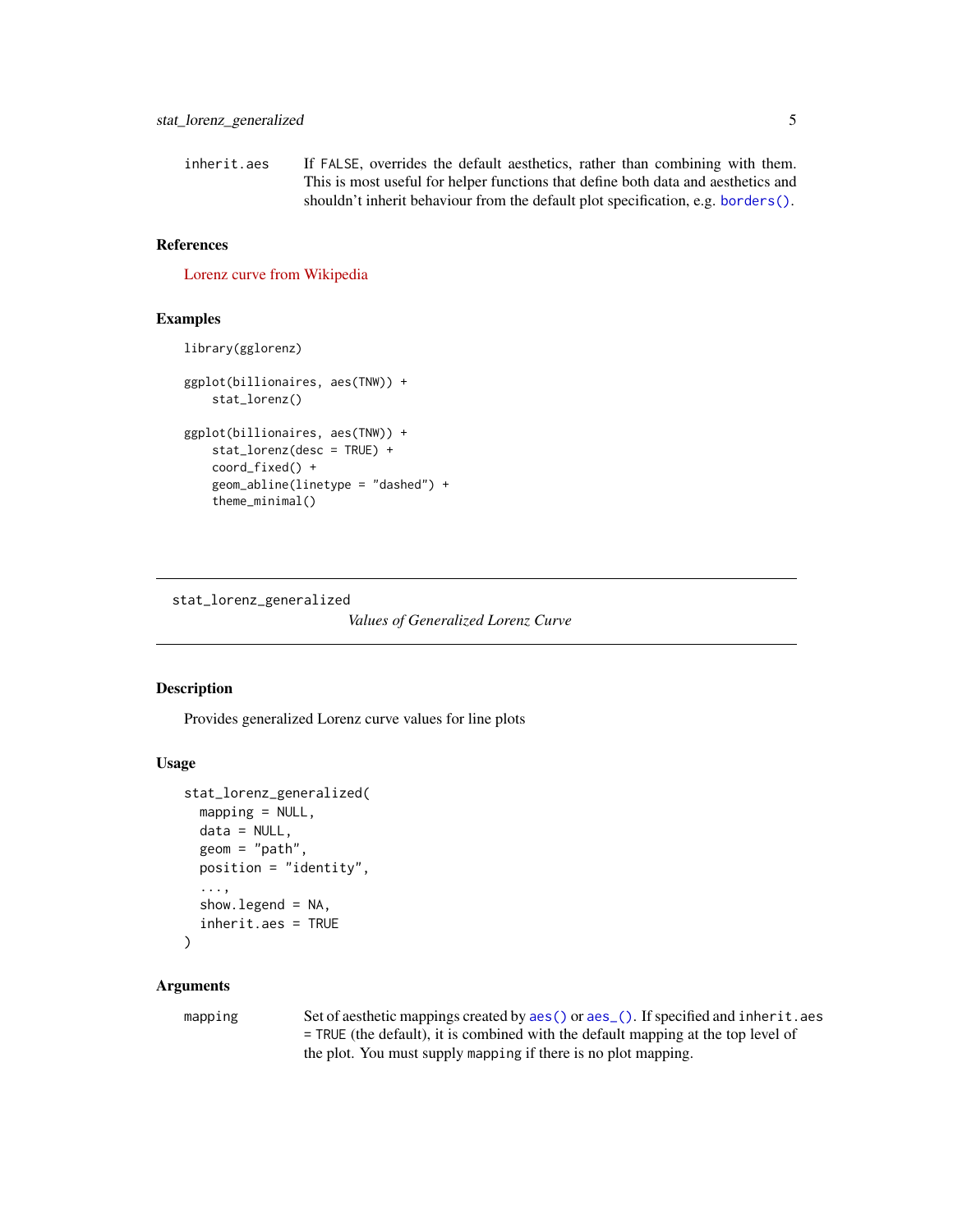<span id="page-4-0"></span>inherit.aes If FALSE, overrides the default aesthetics, rather than combining with them. This is most useful for helper functions that define both data and aesthetics and shouldn't inherit behaviour from the default plot specification, e.g. [borders\(\)](#page-0-0).

#### References

[Lorenz curve from Wikipedia](https://en.wikipedia.org/wiki/Lorenz_curve)

#### Examples

```
library(gglorenz)
ggplot(billionaires, aes(TNW)) +
    stat_lorenz()
ggplot(billionaires, aes(TNW)) +
    stat_lorenz(desc = TRUE) +
    coord_fixed() +
    geom_abline(linetype = "dashed") +
    theme_minimal()
```
stat\_lorenz\_generalized

*Values of Generalized Lorenz Curve*

#### Description

Provides generalized Lorenz curve values for line plots

#### Usage

```
stat_lorenz_generalized(
  mapping = NULL,data = NULL,
  geom = "path",
 position = "identity",
  ...,
  show. legend = NA,
  inherit.aes = TRUE
)
```
#### **Arguments**

mapping Set of aesthetic mappings created by [aes\(\)](#page-0-0) or [aes\\_\(\)](#page-0-0). If specified and inherit.aes = TRUE (the default), it is combined with the default mapping at the top level of the plot. You must supply mapping if there is no plot mapping.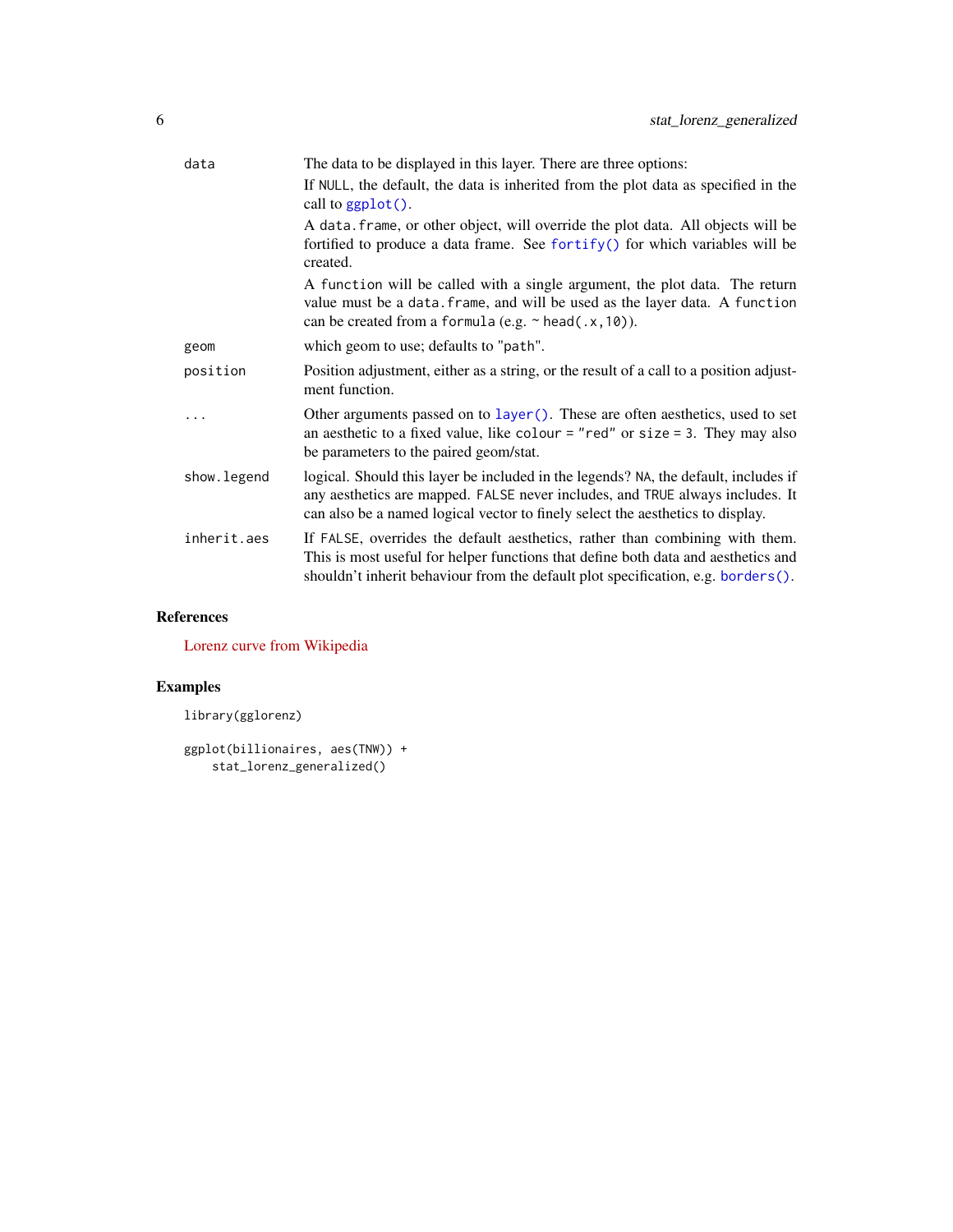<span id="page-5-0"></span>

| data        | The data to be displayed in this layer. There are three options:                                                                                                                                                                                       |
|-------------|--------------------------------------------------------------------------------------------------------------------------------------------------------------------------------------------------------------------------------------------------------|
|             | If NULL, the default, the data is inherited from the plot data as specified in the<br>call to $ggplot()$ .                                                                                                                                             |
|             | A data. frame, or other object, will override the plot data. All objects will be<br>fortified to produce a data frame. See fortify() for which variables will be<br>created.                                                                           |
|             | A function will be called with a single argument, the plot data. The return<br>value must be a data. frame, and will be used as the layer data. A function<br>can be created from a formula (e.g. $\sim$ head(.x, 10)).                                |
| geom        | which geom to use; defaults to "path".                                                                                                                                                                                                                 |
| position    | Position adjustment, either as a string, or the result of a call to a position adjust-<br>ment function.                                                                                                                                               |
|             | Other arguments passed on to layer (). These are often aesthetics, used to set<br>an aesthetic to a fixed value, like colour = "red" or size = 3. They may also<br>be parameters to the paired geom/stat.                                              |
| show.legend | logical. Should this layer be included in the legends? NA, the default, includes if<br>any aesthetics are mapped. FALSE never includes, and TRUE always includes. It<br>can also be a named logical vector to finely select the aesthetics to display. |
| inherit.aes | If FALSE, overrides the default aesthetics, rather than combining with them.<br>This is most useful for helper functions that define both data and aesthetics and<br>shouldn't inherit behaviour from the default plot specification, e.g. borders().  |

#### References

[Lorenz curve from Wikipedia](https://en.wikipedia.org/wiki/Lorenz_curve)

#### Examples

```
library(gglorenz)
```

```
ggplot(billionaires, aes(TNW)) +
    stat_lorenz_generalized()
```